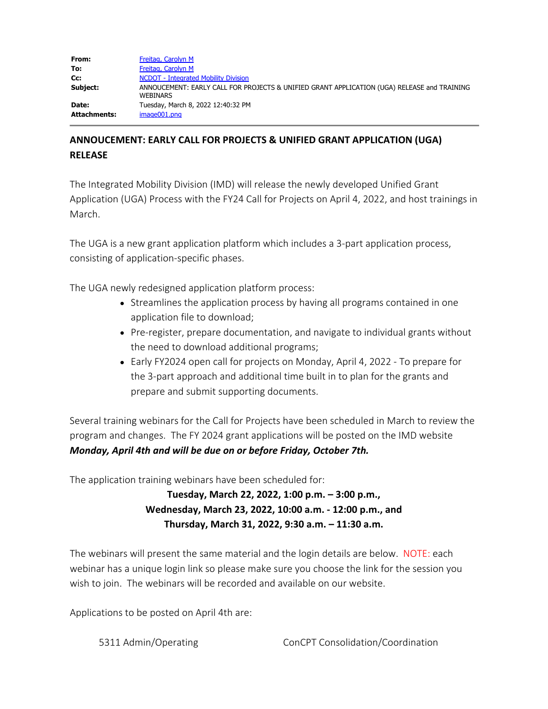| From:        | Freitag, Carolyn M                                                                                             |
|--------------|----------------------------------------------------------------------------------------------------------------|
| To:          | Freitag, Carolyn M                                                                                             |
| Cc:          | <b>NCDOT</b> - Integrated Mobility Division                                                                    |
| Subject:     | ANNOUCEMENT: EARLY CALL FOR PROJECTS & UNIFIED GRANT APPLICATION (UGA) RELEASE and TRAINING<br><b>WEBINARS</b> |
| Date:        | Tuesday, March 8, 2022 12:40:32 PM                                                                             |
| Attachments: | image001.png                                                                                                   |

## **ANNOUCEMENT: EARLY CALL FOR PROJECTS & UNIFIED GRANT APPLICATION (UGA) RELEASE**

The Integrated Mobility Division (IMD) will release the newly developed Unified Grant Application (UGA) Process with the FY24 Call for Projects on April 4, 2022, and host trainings in March.

The UGA is a new grant application platform which includes a 3-part application process, consisting of application-specific phases.

The UGA newly redesigned application platform process:

- Streamlines the application process by having all programs contained in one application file to download;
- Pre-register, prepare documentation, and navigate to individual grants without the need to download additional programs;
- Early FY2024 open call for projects on Monday, April 4, 2022 To prepare for the 3-part approach and additional time built in to plan for the grants and prepare and submit supporting documents.

Several training webinars for the Call for Projects have been scheduled in March to review the program and changes. The FY 2024 grant applications will be posted on the IMD website *Monday, April 4th and will be due on or before Friday, October 7th.*

The application training webinars have been scheduled for:

**Tuesday, March 22, 2022, 1:00 p.m. – 3:00 p.m., Wednesday, March 23, 2022, 10:00 a.m. - 12:00 p.m., and Thursday, March 31, 2022, 9:30 a.m. – 11:30 a.m.**

The webinars will present the same material and the login details are below. NOTE: each webinar has a unique login link so please make sure you choose the link for the session you wish to join. The webinars will be recorded and available on our website.

Applications to be posted on April 4th are: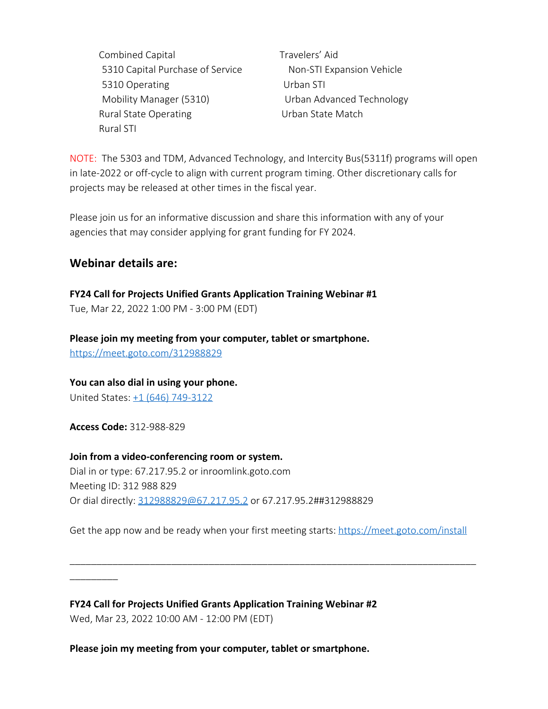Combined Capital Travelers' Aid 5310 Capital Purchase of Service Non-STI Expansion Vehicle 5310 Operating Urban STI Mobility Manager (5310) Urban Advanced Technology Rural State Operating The State Match Rural STI

NOTE: The 5303 and TDM, Advanced Technology, and Intercity Bus(5311f) programs will open in late-2022 or off-cycle to align with current program timing. Other discretionary calls for projects may be released at other times in the fiscal year.

Please join us for an informative discussion and share this information with any of your agencies that may consider applying for grant funding for FY 2024.

## **Webinar details are:**

**FY24 Call for Projects Unified Grants Application Training Webinar #1**

Tue, Mar 22, 2022 1:00 PM - 3:00 PM (EDT)

**Please join my meeting from your computer, tablet or smartphone.**  <https://meet.goto.com/312988829>

**You can also dial in using your phone.**

United States: [+1 \(646\) 749-3122](tel:+16467493122,,312988829)

**Access Code:** 312-988-829

\_\_\_\_\_\_\_\_\_

**Join from a video-conferencing room or system.** Dial in or type: 67.217.95.2 or inroomlink.goto.com Meeting ID: 312 988 829 Or dial directly: [312988829@67.217.95.2](mailto:312988829@67.217.95.2) or 67.217.95.2##312988829

Get the app now and be ready when your first meeting starts:<https://meet.goto.com/install>

\_\_\_\_\_\_\_\_\_\_\_\_\_\_\_\_\_\_\_\_\_\_\_\_\_\_\_\_\_\_\_\_\_\_\_\_\_\_\_\_\_\_\_\_\_\_\_\_\_\_\_\_\_\_\_\_\_\_\_\_\_\_\_\_\_\_\_\_\_\_\_\_\_\_\_\_

**FY24 Call for Projects Unified Grants Application Training Webinar #2** Wed, Mar 23, 2022 10:00 AM - 12:00 PM (EDT)

**Please join my meeting from your computer, tablet or smartphone.**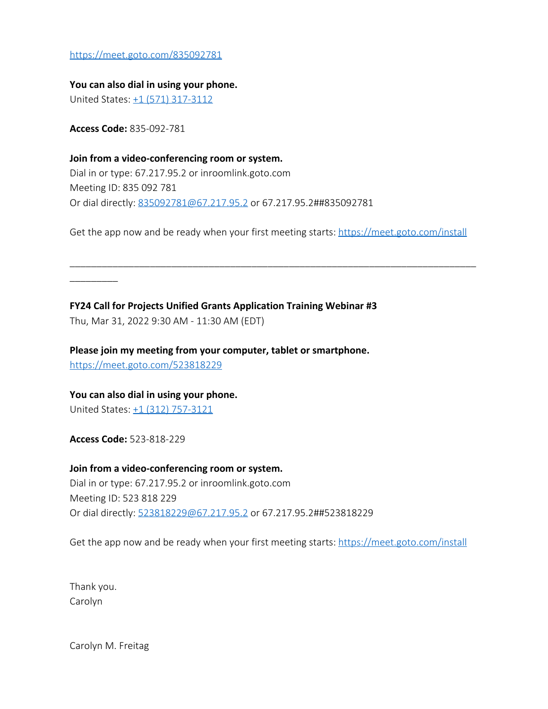<https://meet.goto.com/835092781>

**You can also dial in using your phone.** United States: [+1 \(571\) 317-3112](tel:+15713173112,,835092781)

**Access Code:** 835-092-781

\_\_\_\_\_\_\_\_\_

**Join from a video-conferencing room or system.** Dial in or type: 67.217.95.2 or inroomlink.goto.com Meeting ID: 835 092 781 Or dial directly: [835092781@67.217.95.2](mailto:835092781@67.217.95.2) or 67.217.95.2##835092781

Get the app now and be ready when your first meeting starts:<https://meet.goto.com/install>

\_\_\_\_\_\_\_\_\_\_\_\_\_\_\_\_\_\_\_\_\_\_\_\_\_\_\_\_\_\_\_\_\_\_\_\_\_\_\_\_\_\_\_\_\_\_\_\_\_\_\_\_\_\_\_\_\_\_\_\_\_\_\_\_\_\_\_\_\_\_\_\_\_\_\_\_

**FY24 Call for Projects Unified Grants Application Training Webinar #3** Thu, Mar 31, 2022 9:30 AM - 11:30 AM (EDT)

**Please join my meeting from your computer, tablet or smartphone.**  <https://meet.goto.com/523818229>

**You can also dial in using your phone.** United States: [+1 \(312\) 757-3121](tel:+13127573121,,523818229)

**Access Code:** 523-818-229

**Join from a video-conferencing room or system.** Dial in or type: 67.217.95.2 or inroomlink.goto.com Meeting ID: 523 818 229 Or dial directly: [523818229@67.217.95.2](mailto:523818229@67.217.95.2) or 67.217.95.2##523818229

Get the app now and be ready when your first meeting starts:<https://meet.goto.com/install>

Thank you. Carolyn

Carolyn M. Freitag